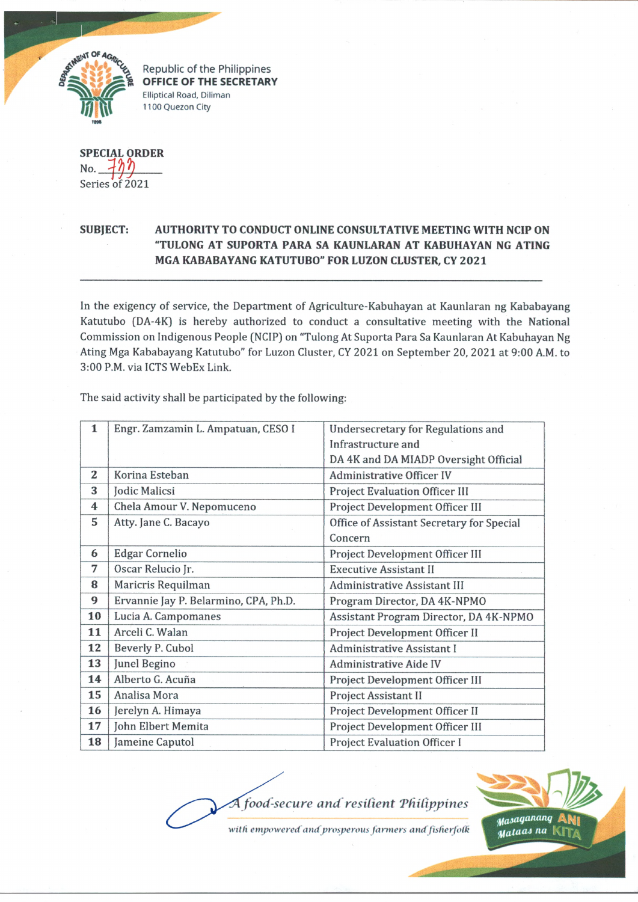

Republic of the Philippines **OFFICE OF THE SECRETARY Elliptical Road, Diliman 1100 Quezon City**

**SPECIAL ORDER** No. Series of 2021

## **SUBJECT: AUTHORITY TO CONDUCT ONLINE CONSULTATIVE MEETING WITH NCIP ON "TULONG AT SUPORTA PARA SA KAUNLARAN AT KABUHAYAN NG ATING MGA KABABAYANG KATUTUBO" FOR LUZON CLUSTER, CY 2021**

In the exigency of service, the Department of Agriculture-Kabuhayan at Kaunlaran ng Kababayang Katutubo (DA-4K) is hereby authorized to conduct a consultative meeting with the National Commission on Indigenous People (NCIP) on "Tulong At Suporta Para Sa Kaunlaran At Kabuhayan Ng Ating Mga Kababayang Katutubo" for Luzon Cluster, CY 2021 on September 20, 2021 at 9:00 A.M. to 3:00 P.M. via ICTS WebEx Link.

| 1  | Engr. Zamzamin L. Ampatuan, CESO I    | <b>Undersecretary for Regulations and</b> |
|----|---------------------------------------|-------------------------------------------|
|    |                                       | Infrastructure and                        |
|    |                                       | DA 4K and DA MIADP Oversight Official     |
| 2  | Korina Esteban                        | <b>Administrative Officer IV</b>          |
| 3  | Jodic Malicsi                         | <b>Project Evaluation Officer III</b>     |
| 4  | Chela Amour V. Nepomuceno             | Project Development Officer III           |
| 5  | Atty. Jane C. Bacayo                  | Office of Assistant Secretary for Special |
|    |                                       | Concern                                   |
| 6  | <b>Edgar Cornelio</b>                 | Project Development Officer III           |
| 7  | Oscar Relucio Jr.                     | <b>Executive Assistant II</b>             |
| 8  | Maricris Requilman                    | <b>Administrative Assistant III</b>       |
| 9  | Ervannie Jay P. Belarmino, CPA, Ph.D. | Program Director, DA 4K-NPMO              |
| 10 | Lucia A. Campomanes                   | Assistant Program Director, DA 4K-NPMO    |
| 11 | Arceli C. Walan                       | Project Development Officer II            |
| 12 | Beverly P. Cubol                      | <b>Administrative Assistant I</b>         |
| 13 | Junel Begino                          | <b>Administrative Aide IV</b>             |
| 14 | Alberto G. Acuña                      | Project Development Officer III           |
| 15 | Analisa Mora                          | Project Assistant II                      |
| 16 | Jerelyn A. Himaya                     | Project Development Officer II            |
| 17 | John Elbert Memita                    | Project Development Officer III           |
| 18 | Jameine Caputol                       | <b>Project Evaluation Officer I</b>       |

The said activity shall be participated by the following:

*food-secure and resilient 'Philippines*

*tfasat)linanQ* **A N i** *■ Maiaai na* **K it7^**

with empowered and prosperous farmers and fisherfolk